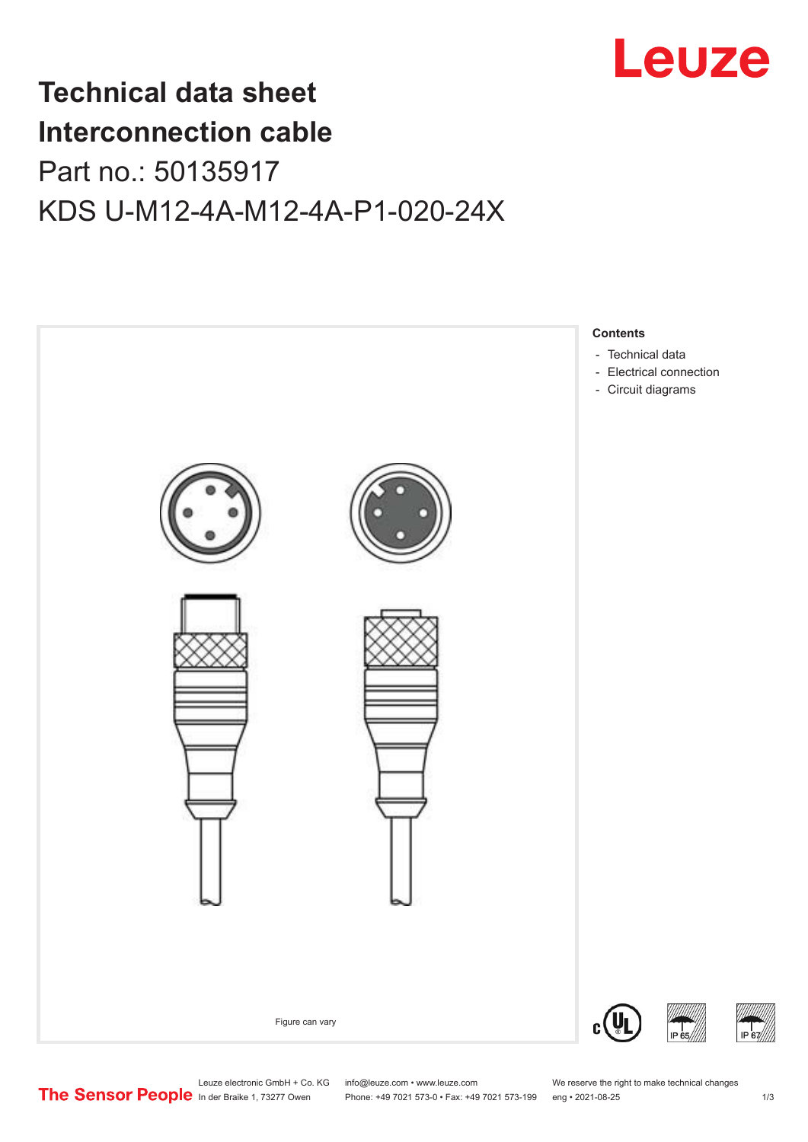

## **Technical data sheet Interconnection cable** Part no.: 50135917 KDS U-M12-4A-M12-4A-P1-020-24X



Leuze electronic GmbH + Co. KG info@leuze.com • www.leuze.com We reserve the right to make technical changes<br>
The Sensor People in der Braike 1, 73277 Owen Phone: +49 7021 573-0 • Fax: +49 7021 573-199 eng • 2021-08-25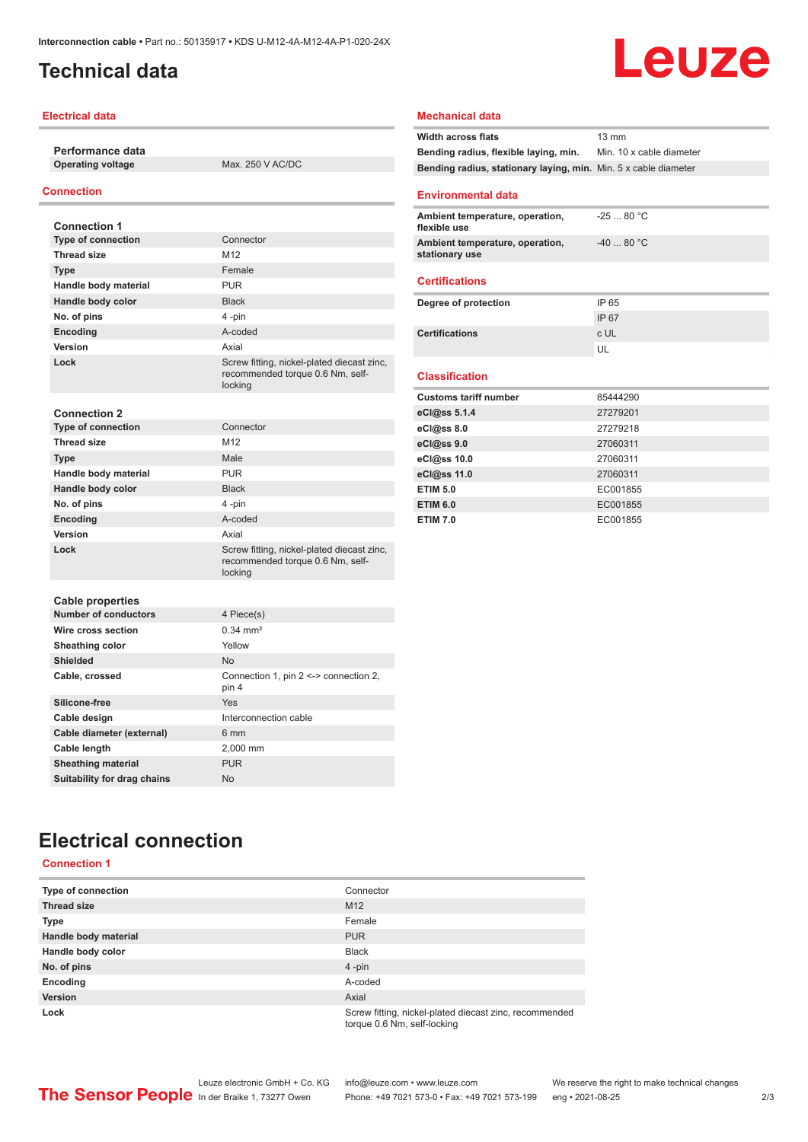### <span id="page-1-0"></span>**Technical data**

#### **Electrical data**

**Performance data Operating voltage** Max. 250 V AC/DC

### **Connection**

| <b>Connection 1</b>         |                                                                                           |
|-----------------------------|-------------------------------------------------------------------------------------------|
| <b>Type of connection</b>   | Connector                                                                                 |
| <b>Thread size</b>          | M12                                                                                       |
| <b>Type</b>                 | Female                                                                                    |
| Handle body material        | <b>PUR</b>                                                                                |
| Handle body color           | <b>Black</b>                                                                              |
| No. of pins                 | 4-pin                                                                                     |
| Encoding                    | A-coded                                                                                   |
| Version                     | Axial                                                                                     |
| Lock                        | Screw fitting, nickel-plated diecast zinc,<br>recommended torque 0.6 Nm, self-<br>locking |
| <b>Connection 2</b>         |                                                                                           |
| <b>Type of connection</b>   | Connector                                                                                 |
| <b>Thread size</b>          | M12                                                                                       |
| <b>Type</b>                 | Male                                                                                      |
| Handle body material        | <b>PUR</b>                                                                                |
| Handle body color           | <b>Black</b>                                                                              |
| No. of pins                 | 4-pin                                                                                     |
| <b>Encoding</b>             | A-coded                                                                                   |
| Version                     | Axial                                                                                     |
| Lock                        | Screw fitting, nickel-plated diecast zinc,<br>recommended torque 0.6 Nm, self-<br>locking |
| <b>Cable properties</b>     |                                                                                           |
| <b>Number of conductors</b> | 4 Piece(s)                                                                                |
| Wire cross section          | $0.34 \, \text{mm}^2$                                                                     |
| Sheathing color             | Yellow                                                                                    |
| <b>Shielded</b>             | <b>No</b>                                                                                 |
| Cable, crossed              | Connection 1, pin 2 <-> connection 2,<br>pin 4                                            |
| Silicone-free               | Yes                                                                                       |
| Cable design                | Interconnection cable                                                                     |
| Cable diameter (external)   | 6 mm                                                                                      |
| Cable length                | 2,000 mm                                                                                  |
| <b>Sheathing material</b>   | <b>PUR</b>                                                                                |

#### **Mechanical data**

| <b>Width across flats</b>                                       | $13 \text{ mm}$          |
|-----------------------------------------------------------------|--------------------------|
| Bending radius, flexible laying, min.                           | Min. 10 x cable diameter |
| Bending radius, stationary laying, min. Min. 5 x cable diameter |                          |
|                                                                 |                          |

#### **Environmental data**

| Ambient temperature, operation,<br>flexible use   | -25  80 °C |
|---------------------------------------------------|------------|
| Ambient temperature, operation,<br>stationary use | $-4080 °C$ |

#### **Certifications**

| Degree of protection  | IP 65 |
|-----------------------|-------|
|                       | IP 67 |
| <b>Certifications</b> | c UL  |
|                       |       |

#### **Classification**

| <b>Customs tariff number</b> | 85444290 |
|------------------------------|----------|
| eCl@ss 5.1.4                 | 27279201 |
| $eC/\omega$ ss 8.0           | 27279218 |
| eCl@ss 9.0                   | 27060311 |
| eCl@ss 10.0                  | 27060311 |
| eCl@ss 11.0                  | 27060311 |
| <b>ETIM 5.0</b>              | EC001855 |
| <b>ETIM 6.0</b>              | EC001855 |
| <b>ETIM 7.0</b>              | EC001855 |

### **Electrical connection**

**Suitability for drag chains** No

### **Connection 1**

| Type of connection   | Connector                                                                             |
|----------------------|---------------------------------------------------------------------------------------|
| <b>Thread size</b>   | M <sub>12</sub>                                                                       |
| <b>Type</b>          | Female                                                                                |
| Handle body material | <b>PUR</b>                                                                            |
| Handle body color    | <b>Black</b>                                                                          |
| No. of pins          | $4$ -pin                                                                              |
| Encoding             | A-coded                                                                               |
| <b>Version</b>       | Axial                                                                                 |
| Lock                 | Screw fitting, nickel-plated diecast zinc, recommended<br>torque 0.6 Nm, self-locking |